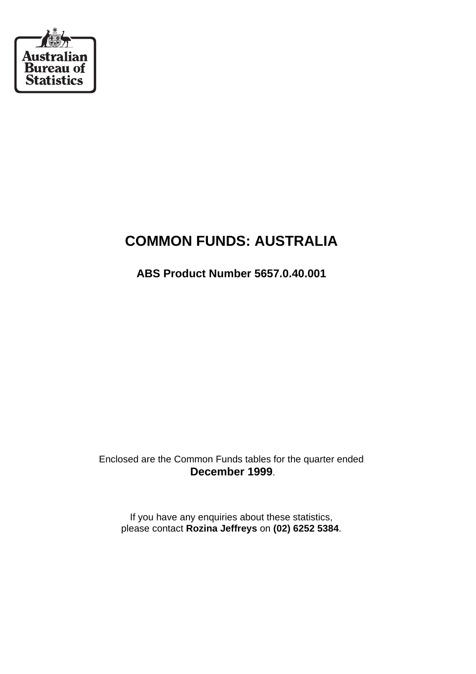

# **COMMON FUNDS: AUSTRALIA**

**ABS Product Number 5657.0.40.001**

Enclosed are the Common Funds tables for the quarter ended **December 1999**.

If you have any enquiries about these statistics, please contact **Rozina Jeffreys** on **(02) 6252 5384**.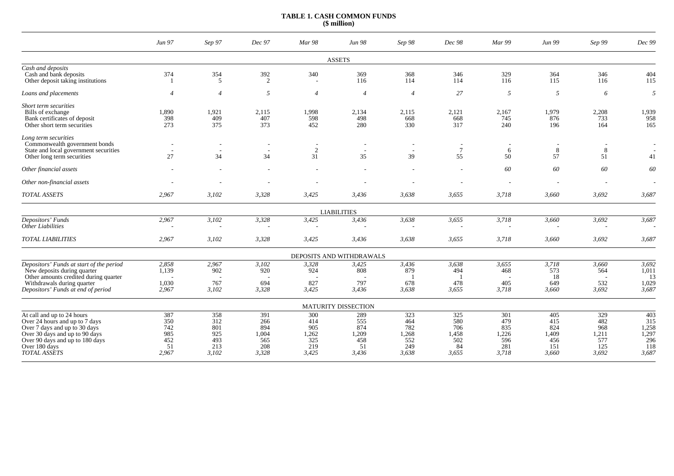## **TABLE 1. CASH COMMON FUNDS (\$ million)**

|                                                                                                                                                                                                            | Jun 97                                           | Sep 97                                          | Dec 97                                            | Mar 98                                            | Jun 98                                           | Sep 98                                            | Dec 98                                           | Mar 99                                            | Jun 99                                            | Sep 99                                            | Dec 99                                              |
|------------------------------------------------------------------------------------------------------------------------------------------------------------------------------------------------------------|--------------------------------------------------|-------------------------------------------------|---------------------------------------------------|---------------------------------------------------|--------------------------------------------------|---------------------------------------------------|--------------------------------------------------|---------------------------------------------------|---------------------------------------------------|---------------------------------------------------|-----------------------------------------------------|
|                                                                                                                                                                                                            |                                                  |                                                 |                                                   |                                                   | <b>ASSETS</b>                                    |                                                   |                                                  |                                                   |                                                   |                                                   |                                                     |
| Cash and deposits<br>Cash and bank deposits<br>Other deposit taking institutions                                                                                                                           | 374                                              | 354<br>5                                        | 392<br>2                                          | 340                                               | 369<br>116                                       | 368<br>114                                        | 346<br>114                                       | 329<br>116                                        | 364<br>115                                        | 346<br>116                                        | 404<br>115                                          |
| Loans and placements                                                                                                                                                                                       | $\overline{4}$                                   | $\overline{4}$                                  | 5                                                 | $\overline{4}$                                    | $\overline{4}$                                   | $\overline{4}$                                    | 27                                               | 5                                                 | 5                                                 | 6                                                 | 5                                                   |
| Short term securities<br>Bills of exchange<br>Bank certificates of deposit<br>Other short term securities                                                                                                  | 1,890<br>398<br>273                              | 1,921<br>409<br>375                             | 2,115<br>407<br>373                               | 1,998<br>598<br>452                               | 2,134<br>498<br>280                              | 2,115<br>668<br>330                               | 2,121<br>668<br>317                              | 2,167<br>745<br>240                               | 1,979<br>876<br>196                               | 2,208<br>733<br>164                               | 1,939<br>958<br>165                                 |
| Long term securities<br>Commonwealth government bonds<br>State and local government securities<br>Other long term securities                                                                               | $\overline{\phantom{a}}$<br>$\overline{a}$<br>27 | $\overline{\phantom{a}}$<br>34                  | 34                                                | $\overline{\phantom{a}}$<br>$\sqrt{2}$<br>31      | 35                                               | 39                                                | $\tau$<br>55                                     | $\overline{\phantom{a}}$<br>6<br>50               | 8<br>57                                           | $\bf 8$<br>51                                     | 41                                                  |
| Other financial assets                                                                                                                                                                                     |                                                  |                                                 |                                                   |                                                   |                                                  |                                                   |                                                  | 60                                                | 60                                                | 60                                                | 60                                                  |
| Other non-financial assets                                                                                                                                                                                 |                                                  |                                                 |                                                   |                                                   |                                                  |                                                   |                                                  |                                                   |                                                   |                                                   |                                                     |
| <b>TOTAL ASSETS</b>                                                                                                                                                                                        | 2,967                                            | 3,102                                           | 3,328                                             | 3,425                                             | 3,436                                            | 3,638                                             | 3,655                                            | 3,718                                             | 3,660                                             | 3,692                                             | 3,687                                               |
|                                                                                                                                                                                                            |                                                  |                                                 |                                                   |                                                   | <b>LIABILITIES</b>                               |                                                   |                                                  |                                                   |                                                   |                                                   |                                                     |
| Depositors' Funds<br>Other Liabilities                                                                                                                                                                     | 2,967                                            | 3,102                                           | 3,328                                             | 3,425                                             | 3,436                                            | 3,638                                             | 3,655                                            | 3,718                                             | 3,660                                             | 3,692                                             | 3,687                                               |
| <b>TOTAL LIABILITIES</b>                                                                                                                                                                                   | 2,967                                            | 3,102                                           | 3,328                                             | 3,425                                             | 3,436                                            | 3,638                                             | 3,655                                            | 3,718                                             | 3,660                                             | 3,692                                             | 3,687                                               |
|                                                                                                                                                                                                            |                                                  |                                                 |                                                   |                                                   | DEPOSITS AND WITHDRAWALS                         |                                                   |                                                  |                                                   |                                                   |                                                   |                                                     |
| Depositors' Funds at start of the period<br>New deposits during quarter<br>Other amounts credited during quarter<br>Withdrawals during quarter<br>Depositors' Funds at end of period                       | 2,858<br>1,139<br>1,030<br>2,967                 | 2,967<br>902<br>767<br>3,102                    | 3,102<br>920<br>694<br>3,328                      | 3,328<br>924<br>827<br>3,425                      | 3,425<br>808<br>797<br>3,436                     | 3,436<br>879<br>678<br>3,638                      | 3,638<br>494<br>478<br>3,655                     | 3,655<br>468<br>405<br>3,718                      | 3,718<br>573<br>18<br>649<br>3,660                | 3,660<br>564<br>532<br>3,692                      | 3,692<br>1,011<br>13<br>1,029<br>3,687              |
|                                                                                                                                                                                                            |                                                  |                                                 |                                                   |                                                   | <b>MATURITY DISSECTION</b>                       |                                                   |                                                  |                                                   |                                                   |                                                   |                                                     |
| At call and up to 24 hours<br>Over 24 hours and up to 7 days<br>Over 7 days and up to 30 days<br>Over 30 days and up to 90 days<br>Over 90 days and up to 180 days<br>Over 180 days<br><b>TOTAL ASSETS</b> | 387<br>350<br>742<br>985<br>452<br>51<br>2.967   | 358<br>312<br>801<br>925<br>493<br>213<br>3,102 | 391<br>266<br>894<br>1,004<br>565<br>208<br>3,328 | 300<br>414<br>905<br>1,262<br>325<br>219<br>3,425 | 289<br>555<br>874<br>1,209<br>458<br>51<br>3,436 | 323<br>464<br>782<br>1,268<br>552<br>249<br>3,638 | 325<br>580<br>706<br>1,458<br>502<br>84<br>3.655 | 301<br>479<br>835<br>1,226<br>596<br>281<br>3,718 | 405<br>415<br>824<br>1,409<br>456<br>151<br>3,660 | 329<br>482<br>968<br>1,211<br>577<br>125<br>3,692 | 403<br>315<br>1,258<br>1,297<br>296<br>118<br>3,687 |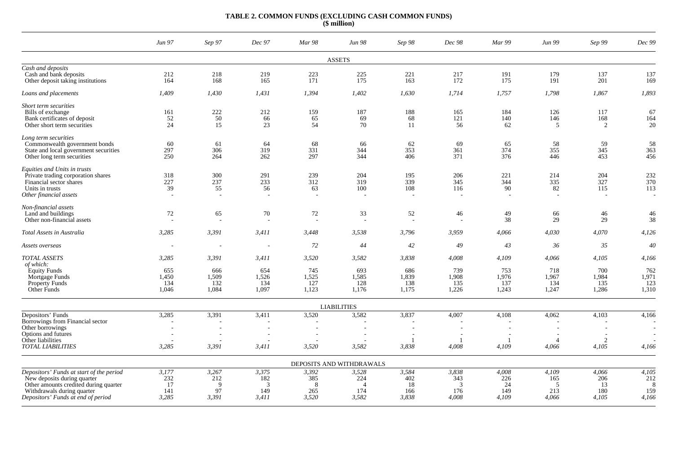#### **TABLE 2. COMMON FUNDS (EXCLUDING CASH COMMON FUNDS) (\$ million)**

|                                                                                                                                                                                      | Jun 97                                       | Sep 97                                       | Dec 97                            | Mar 98                             | Jun 98                                                   | Sep 98                             | Dec 98                            | Mar 99                             | Jun 99                                       | Sep 99                             | Dec 99                                        |
|--------------------------------------------------------------------------------------------------------------------------------------------------------------------------------------|----------------------------------------------|----------------------------------------------|-----------------------------------|------------------------------------|----------------------------------------------------------|------------------------------------|-----------------------------------|------------------------------------|----------------------------------------------|------------------------------------|-----------------------------------------------|
|                                                                                                                                                                                      |                                              |                                              |                                   |                                    | <b>ASSETS</b>                                            |                                    |                                   |                                    |                                              |                                    |                                               |
| Cash and deposits<br>Cash and bank deposits<br>Other deposit taking institutions                                                                                                     | 212<br>164                                   | 218<br>168                                   | 219<br>165                        | 223<br>171                         | 225<br>175                                               | 221<br>163                         | 217<br>172                        | 191<br>175                         | 179<br>191                                   | 137<br>201                         | 137<br>169                                    |
| Loans and placements                                                                                                                                                                 | 1,409                                        | 1,430                                        | 1,431                             | 1,394                              | 1,402                                                    | 1,630                              | 1,714                             | 1,757                              | 1,798                                        | 1,867                              | 1,893                                         |
| Short term securities<br>Bills of exchange<br>Bank certificates of deposit<br>Other short term securities                                                                            | 161<br>52<br>24                              | 222<br>$\frac{1}{50}$<br>15                  | 212<br>66<br>23                   | 159<br>65<br>54                    | 187<br>69<br>70                                          | 188<br>68<br>11                    | 165<br>121<br>56                  | 184<br>140<br>62                   | 126<br>146<br>5                              | 117<br>168<br>2                    | 67<br>164<br>20                               |
| Long term securities<br>Commonwealth government bonds<br>State and local government securities<br>Other long term securities                                                         | 60<br>297<br>250                             | 61<br>306<br>264                             | 64<br>319<br>262                  | 68<br>331<br>297                   | 66<br>344<br>344                                         | 62<br>353<br>406                   | 69<br>361<br>371                  | 65<br>374<br>376                   | 58<br>355<br>446                             | 59<br>345<br>453                   | 58<br>363<br>456                              |
| Equities and Units in trusts<br>Private trading corporation shares<br>Financial sector shares<br>Units in trusts<br>Other financial assets                                           | 318<br>227<br>39<br>$\overline{\phantom{a}}$ | 300<br>237<br>55<br>$\overline{\phantom{a}}$ | 291<br>233<br>56                  | 239<br>312<br>63<br>$\overline{a}$ | 204<br>319<br>100<br>$\overline{\phantom{a}}$            | 195<br>339<br>108                  | 206<br>345<br>116                 | 221<br>344<br>90                   | 214<br>335<br>82<br>$\overline{\phantom{a}}$ | 204<br>327<br>115<br>$\sim$        | 232<br>370<br>113<br>$\overline{\phantom{a}}$ |
| Non-financial assets<br>Land and buildings<br>Other non-financial assets                                                                                                             | 72                                           | 65                                           | 70                                | 72                                 | 33                                                       | 52                                 | 46                                | 49<br>38                           | 66<br>29                                     | 46<br>29                           | 46<br>38                                      |
| Total Assets in Australia                                                                                                                                                            | 3,285                                        | 3,391                                        | 3,411                             | 3,448                              | 3,538                                                    | 3,796                              | 3,959                             | 4,066                              | 4,030                                        | 4,070                              | 4,126                                         |
| Assets overseas                                                                                                                                                                      |                                              | $\overline{\phantom{a}}$                     |                                   | 72                                 | 44                                                       | 42                                 | 49                                | 43                                 | 36                                           | 35                                 | 40                                            |
| <b>TOTAL ASSETS</b><br>of which:                                                                                                                                                     | 3,285                                        | 3,391                                        | 3,411                             | 3,520                              | 3,582                                                    | 3,838                              | 4,008                             | 4,109                              | 4,066                                        | 4,105                              | 4,166                                         |
| <b>Equity Funds</b><br>Mortgage Funds<br><b>Property Funds</b><br>Other Funds                                                                                                        | 655<br>1,450<br>134<br>1,046                 | 666<br>1,509<br>132<br>1,084                 | 654<br>1,526<br>134<br>1,097      | 745<br>1,525<br>127<br>1,123       | 693<br>1,585<br>128<br>1,176                             | 686<br>1,839<br>138<br>1,175       | 739<br>1,908<br>135<br>1,226      | 753<br>1,976<br>137<br>1,243       | 718<br>1,967<br>134<br>1,247                 | 700<br>1,984<br>135<br>1,286       | 762<br>1,971<br>123<br>1,310                  |
|                                                                                                                                                                                      |                                              |                                              |                                   |                                    | <b>LIABILITIES</b>                                       |                                    |                                   |                                    |                                              |                                    |                                               |
| Depositors' Funds<br>Borrowings from Financial sector<br>Other borrowings                                                                                                            | 3,285                                        | 3,391                                        | 3,411                             | 3,520                              | 3,582                                                    | 3,837                              | 4,007                             | 4,108                              | 4,062                                        | 4,103                              | 4,166                                         |
| Options and futures<br>Other liabilities<br><b>TOTAL LIABILITIES</b>                                                                                                                 | 3,285                                        | 3,391                                        | 3,411                             | 3,520                              | 3,582                                                    | 3,838                              | 4,008                             | $\overline{1}$<br>4,109            | $\overline{A}$<br>4,066                      | 2<br>4,105                         | 4,166                                         |
|                                                                                                                                                                                      |                                              |                                              |                                   |                                    | DEPOSITS AND WITHDRAWALS                                 |                                    |                                   |                                    |                                              |                                    |                                               |
| Depositors' Funds at start of the period<br>New deposits during quarter<br>Other amounts credited during quarter<br>Withdrawals during quarter<br>Depositors' Funds at end of period | 3,177<br>232<br>17<br>141<br>3,285           | 3,267<br>212<br>$\mathbf Q$<br>97<br>3,391   | 3,375<br>182<br>3<br>149<br>3,411 | 3,392<br>385<br>-8<br>265<br>3,520 | 3,528<br>224<br>$\boldsymbol{\varDelta}$<br>174<br>3,582 | 3,584<br>402<br>18<br>166<br>3,838 | 3,838<br>343<br>3<br>176<br>4,008 | 4,008<br>226<br>24<br>149<br>4,109 | 4,109<br>165<br>-5<br>213<br>4,066           | 4,066<br>206<br>13<br>180<br>4,105 | 4,105<br>212<br>-8<br>159<br>4,166            |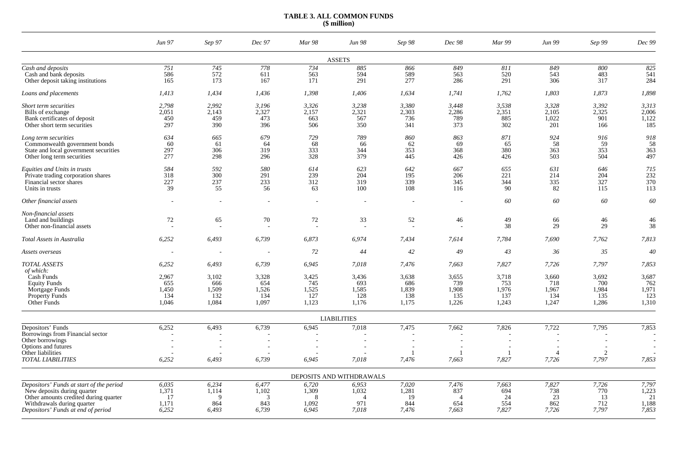## **TABLE 3. ALL COMMON FUNDS (\$ million)**

|                                                                                                                                                                                      | Jun 97                                         | Sep 97                                         | Dec 97                                         | Mar 98                                         | Jun 98                                                     | Sep 98                                         | Dec 98                                              | <b>Mar 99</b>                                  | Jun 99                                         | Sep 99                                         | Dec 99                                         |
|--------------------------------------------------------------------------------------------------------------------------------------------------------------------------------------|------------------------------------------------|------------------------------------------------|------------------------------------------------|------------------------------------------------|------------------------------------------------------------|------------------------------------------------|-----------------------------------------------------|------------------------------------------------|------------------------------------------------|------------------------------------------------|------------------------------------------------|
|                                                                                                                                                                                      |                                                |                                                |                                                |                                                | <b>ASSETS</b>                                              |                                                |                                                     |                                                |                                                |                                                |                                                |
| Cash and deposits<br>Cash and bank deposits<br>Other deposit taking institutions                                                                                                     | 751<br>586<br>165                              | 745<br>572<br>173                              | 778<br>611<br>167                              | 734<br>563<br>171                              | 885<br>594<br>291                                          | 866<br>589<br>277                              | 849<br>563<br>286                                   | 811<br>520<br>291                              | 849<br>543<br>306                              | 800<br>483<br>317                              | 825<br>541<br>284                              |
| Loans and placements                                                                                                                                                                 | 1,413                                          | 1,434                                          | 1,436                                          | 1,398                                          | 1,406                                                      | 1,634                                          | 1,741                                               | 1,762                                          | 1,803                                          | 1,873                                          | 1,898                                          |
| Short term securities<br>Bills of exchange<br>Bank certificates of deposit<br>Other short term securities                                                                            | 2,798<br>2,051<br>450<br>297                   | 2,992<br>2,143<br>459<br>390                   | 3,196<br>2,327<br>473<br>396                   | 3,326<br>2,157<br>663<br>506                   | 3,238<br>2,321<br>567<br>350                               | 3,380<br>2,303<br>736<br>341                   | 3,448<br>2,286<br>789<br>373                        | 3,538<br>2,351<br>885<br>302                   | 3,328<br>2,105<br>1,022<br>201                 | 3,392<br>2,325<br>901<br>166                   | 3,313<br>2,006<br>1.122<br>185                 |
| Long term securities<br>Commonwealth government bonds<br>State and local government securities<br>Other long term securities                                                         | 634<br>60<br>297<br>277                        | 665<br>61<br>306<br>298                        | 679<br>64<br>319<br>296                        | 729<br>68<br>333<br>328                        | 789<br>66<br>344<br>379                                    | 860<br>62<br>353<br>445                        | 863<br>69<br>368<br>426                             | 871<br>65<br>380<br>426                        | 924<br>58<br>363<br>503                        | 916<br>59<br>353<br>504                        | 918<br>58<br>363<br>497                        |
| Equities and Units in trusts<br>Private trading corporation shares<br>Financial sector shares<br>Units in trusts                                                                     | 584<br>318<br>227<br>39                        | 592<br>300<br>237<br>55                        | 580<br>291<br>233<br>56                        | 614<br>239<br>312<br>63                        | 623<br>204<br>319<br>100                                   | 642<br>195<br>339<br>108                       | 667<br>206<br>345<br>116                            | 655<br>221<br>344<br>90                        | 631<br>214<br>335<br>82                        | 646<br>204<br>327<br>115                       | 715<br>232<br>370<br>113                       |
| Other financial assets                                                                                                                                                               |                                                | $\overline{\phantom{a}}$                       |                                                |                                                |                                                            |                                                | $\overline{\phantom{a}}$                            | 60                                             | 60                                             | 60                                             | 60                                             |
| Non-financial assets<br>Land and buildings<br>Other non-financial assets                                                                                                             | 72                                             | 65                                             | 70                                             | 72                                             | 33                                                         | 52                                             | 46                                                  | 49<br>38                                       | 66<br>29                                       | 46<br>29                                       | 46<br>38                                       |
| Total Assets in Australia                                                                                                                                                            | 6,252                                          | 6,493                                          | 6,739                                          | 6,873                                          | 6,974                                                      | 7,434                                          | 7,614                                               | 7,784                                          | 7,690                                          | 7,762                                          | 7,813                                          |
| Assets overseas                                                                                                                                                                      |                                                | $\overline{\phantom{a}}$                       |                                                | 72                                             | 44                                                         | 42                                             | 49                                                  | 43                                             | 36                                             | 35                                             | 40                                             |
| <b>TOTAL ASSETS</b><br>of which:<br>Cash Funds<br><b>Equity Funds</b><br>Mortgage Funds<br><b>Property Funds</b><br>Other Funds                                                      | 6,252<br>2,967<br>655<br>1,450<br>134<br>1,046 | 6,493<br>3,102<br>666<br>1,509<br>132<br>1,084 | 6,739<br>3,328<br>654<br>1,526<br>134<br>1,097 | 6,945<br>3,425<br>745<br>1,525<br>127<br>1,123 | 7,018<br>3,436<br>693<br>1,585<br>128<br>1,176             | 7,476<br>3,638<br>686<br>1,839<br>138<br>1,175 | 7,663<br>3,655<br>739<br>1,908<br>135<br>1,226      | 7,827<br>3,718<br>753<br>1,976<br>137<br>1,243 | 7,726<br>3,660<br>718<br>1,967<br>134<br>1,247 | 7,797<br>3,692<br>700<br>1,984<br>135<br>1,286 | 7,853<br>3,687<br>762<br>1,971<br>123<br>1,310 |
|                                                                                                                                                                                      |                                                |                                                |                                                |                                                | <b>LIABILITIES</b>                                         |                                                |                                                     |                                                |                                                |                                                |                                                |
| Depositors' Funds<br>Borrowings from Financial sector<br>Other borrowings<br>Options and futures<br>Other liabilities                                                                | 6,252                                          | 6,493<br>÷,                                    | 6,739                                          | 6,945                                          | 7,018                                                      | 7,475                                          | 7,662<br>$\overline{\phantom{a}}$<br>$\overline{1}$ | 7,826                                          | 7,722<br>$\boldsymbol{\Lambda}$                | 7,795<br>$\overline{c}$                        | 7,853                                          |
| <b>TOTAL LIABILITIES</b>                                                                                                                                                             | 6,252                                          | 6,493                                          | 6,739                                          | 6,945                                          | 7,018                                                      | 7,476                                          | 7,663                                               | 7,827                                          | 7,726                                          | 7,797                                          | 7,853                                          |
|                                                                                                                                                                                      |                                                |                                                |                                                |                                                | DEPOSITS AND WITHDRAWALS                                   |                                                |                                                     |                                                |                                                |                                                |                                                |
| Depositors' Funds at start of the period<br>New deposits during quarter<br>Other amounts credited during quarter<br>Withdrawals during quarter<br>Depositors' Funds at end of period | 6,035<br>1,371<br>17<br>1,171<br>6,252         | 6,234<br>1,114<br>$\mathbf Q$<br>864<br>6,493  | 6,477<br>1,102<br>3<br>843<br>6,739            | 6,720<br>1,309<br>-8<br>1,092<br>6,945         | 6,953<br>1,032<br>$\boldsymbol{\varDelta}$<br>971<br>7,018 | 7,020<br>1,281<br>19<br>844<br>7,476           | 7,476<br>837<br>$\overline{4}$<br>654<br>7,663      | 7,663<br>694<br>24<br>554<br>7,827             | 7,827<br>738<br>23<br>862<br>7,726             | 7,726<br>770<br>13<br>712<br>7,797             | 7,797<br>1,223<br>21<br>1,188<br>7,853         |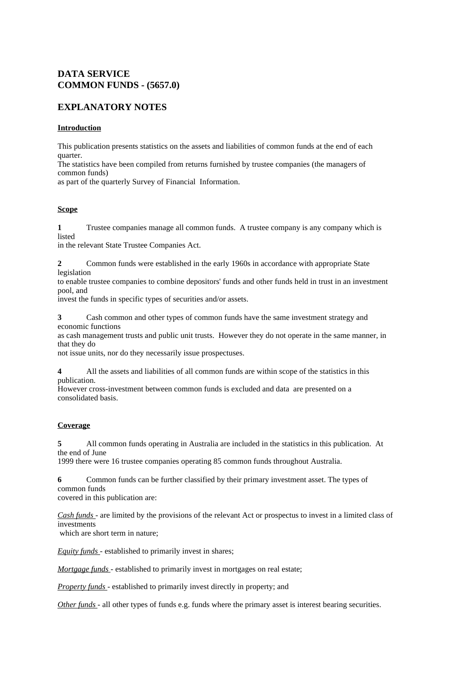#### **DATA SERVICE COMMON FUNDS - (5657.0)**

### **EXPLANATORY NOTES**

#### **Introduction**

This publication presents statistics on the assets and liabilities of common funds at the end of each quarter.

The statistics have been compiled from returns furnished by trustee companies (the managers of common funds)

as part of the quarterly Survey of Financial Information.

#### **Scope**

**1** Trustee companies manage all common funds. A trustee company is any company which is listed

in the relevant State Trustee Companies Act.

**2** Common funds were established in the early 1960s in accordance with appropriate State legislation

to enable trustee companies to combine depositors' funds and other funds held in trust in an investment pool, and

invest the funds in specific types of securities and/or assets.

**3** Cash common and other types of common funds have the same investment strategy and economic functions

as cash management trusts and public unit trusts. However they do not operate in the same manner, in that they do

not issue units, nor do they necessarily issue prospectuses.

**4** All the assets and liabilities of all common funds are within scope of the statistics in this publication.

However cross-investment between common funds is excluded and data are presented on a consolidated basis.

#### **Coverage**

**5** All common funds operating in Australia are included in the statistics in this publication. At the end of June

1999 there were 16 trustee companies operating 85 common funds throughout Australia.

**6** Common funds can be further classified by their primary investment asset. The types of common funds covered in this publication are:

*Cash funds* - are limited by the provisions of the relevant Act or prospectus to invest in a limited class of investments

which are short term in nature;

*Equity funds* - established to primarily invest in shares;

*Mortgage funds* - established to primarily invest in mortgages on real estate;

*Property funds* - established to primarily invest directly in property; and

*Other funds* - all other types of funds e.g. funds where the primary asset is interest bearing securities.